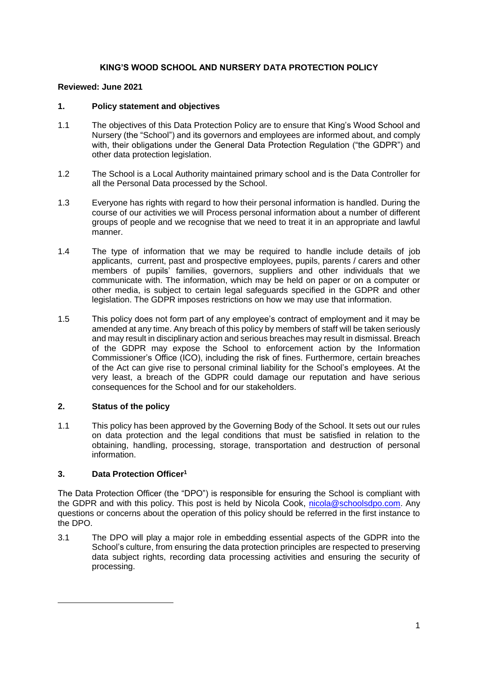# **KING'S WOOD SCHOOL AND NURSERY DATA PROTECTION POLICY**

# **Reviewed: June 2021**

# **1. Policy statement and objectives**

- 1.1 The objectives of this Data Protection Policy are to ensure that King's Wood School and Nursery (the "School") and its governors and employees are informed about, and comply with, their obligations under the General Data Protection Regulation ("the GDPR") and other data protection legislation.
- 1.2 The School is a Local Authority maintained primary school and is the Data Controller for all the Personal Data processed by the School.
- 1.3 Everyone has rights with regard to how their personal information is handled. During the course of our activities we will Process personal information about a number of different groups of people and we recognise that we need to treat it in an appropriate and lawful manner.
- 1.4 The type of information that we may be required to handle include details of job applicants, current, past and prospective employees, pupils, parents / carers and other members of pupils' families, governors, suppliers and other individuals that we communicate with. The information, which may be held on paper or on a computer or other media, is subject to certain legal safeguards specified in the GDPR and other legislation. The GDPR imposes restrictions on how we may use that information.
- 1.5 This policy does not form part of any employee's contract of employment and it may be amended at any time. Any breach of this policy by members of staff will be taken seriously and may result in disciplinary action and serious breaches may result in dismissal. Breach of the GDPR may expose the School to enforcement action by the Information Commissioner's Office (ICO), including the risk of fines. Furthermore, certain breaches of the Act can give rise to personal criminal liability for the School's employees. At the very least, a breach of the GDPR could damage our reputation and have serious consequences for the School and for our stakeholders.

# **2. Status of the policy**

1.1 This policy has been approved by the Governing Body of the School. It sets out our rules on data protection and the legal conditions that must be satisfied in relation to the obtaining, handling, processing, storage, transportation and destruction of personal information.

# **3. Data Protection Officer<sup>1</sup>**

1

The Data Protection Officer (the "DPO") is responsible for ensuring the School is compliant with the GDPR and with this policy. This post is held by Nicola Cook, [nicola@schoolsdpo.com.](mailto:nicola@schoolsdpo.com) Any questions or concerns about the operation of this policy should be referred in the first instance to the DPO.

3.1 The DPO will play a major role in embedding essential aspects of the GDPR into the School's culture, from ensuring the data protection principles are respected to preserving data subject rights, recording data processing activities and ensuring the security of processing.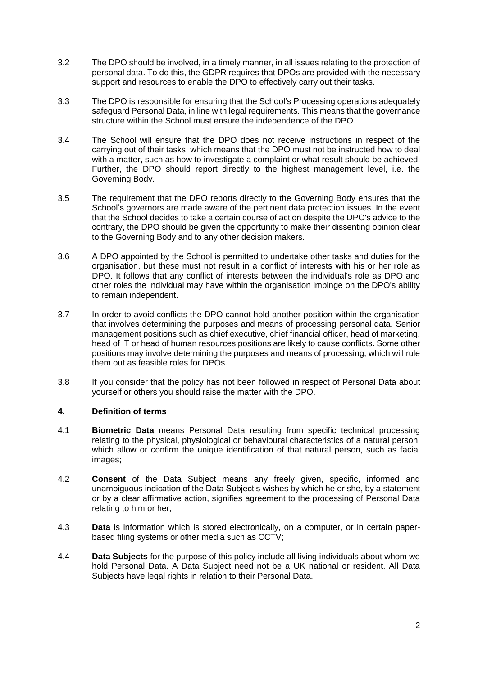- 3.2 The DPO should be involved, in a timely manner, in all issues relating to the protection of personal data. To do this, the GDPR requires that DPOs are provided with the necessary support and resources to enable the DPO to effectively carry out their tasks.
- 3.3 The DPO is responsible for ensuring that the School's Processing operations adequately safeguard Personal Data, in line with legal requirements. This means that the governance structure within the School must ensure the independence of the DPO.
- 3.4 The School will ensure that the DPO does not receive instructions in respect of the carrying out of their tasks, which means that the DPO must not be instructed how to deal with a matter, such as how to investigate a complaint or what result should be achieved. Further, the DPO should report directly to the highest management level, i.e. the Governing Body.
- 3.5 The requirement that the DPO reports directly to the Governing Body ensures that the School's governors are made aware of the pertinent data protection issues. In the event that the School decides to take a certain course of action despite the DPO's advice to the contrary, the DPO should be given the opportunity to make their dissenting opinion clear to the Governing Body and to any other decision makers.
- 3.6 A DPO appointed by the School is permitted to undertake other tasks and duties for the organisation, but these must not result in a conflict of interests with his or her role as DPO. It follows that any conflict of interests between the individual's role as DPO and other roles the individual may have within the organisation impinge on the DPO's ability to remain independent.
- 3.7 In order to avoid conflicts the DPO cannot hold another position within the organisation that involves determining the purposes and means of processing personal data. Senior management positions such as chief executive, chief financial officer, head of marketing, head of IT or head of human resources positions are likely to cause conflicts. Some other positions may involve determining the purposes and means of processing, which will rule them out as feasible roles for DPOs.
- 3.8 If you consider that the policy has not been followed in respect of Personal Data about yourself or others you should raise the matter with the DPO.

# **4. Definition of terms**

- 4.1 **Biometric Data** means Personal Data resulting from specific technical processing relating to the physical, physiological or behavioural characteristics of a natural person, which allow or confirm the unique identification of that natural person, such as facial images;
- 4.2 **Consent** of the Data Subject means any freely given, specific, informed and unambiguous indication of the Data Subject's wishes by which he or she, by a statement or by a clear affirmative action, signifies agreement to the processing of Personal Data relating to him or her;
- 4.3 **Data** is information which is stored electronically, on a computer, or in certain paperbased filing systems or other media such as CCTV;
- 4.4 **Data Subjects** for the purpose of this policy include all living individuals about whom we hold Personal Data. A Data Subject need not be a UK national or resident. All Data Subjects have legal rights in relation to their Personal Data.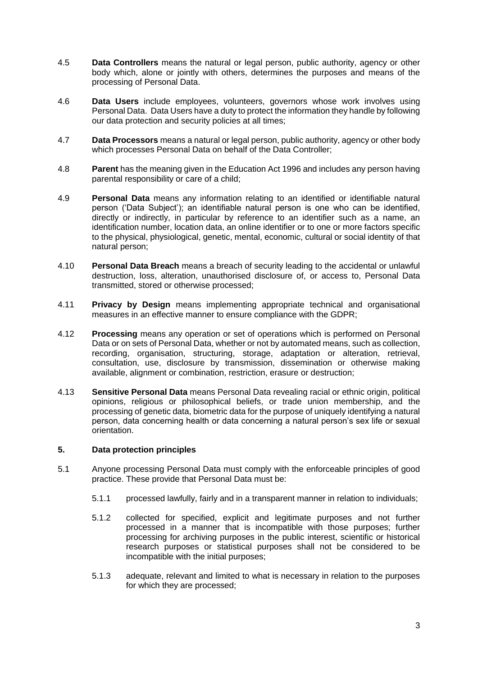- 4.5 **Data Controllers** means the natural or legal person, public authority, agency or other body which, alone or jointly with others, determines the purposes and means of the processing of Personal Data.
- 4.6 **Data Users** include employees, volunteers, governors whose work involves using Personal Data. Data Users have a duty to protect the information they handle by following our data protection and security policies at all times;
- 4.7 **Data Processors** means a natural or legal person, public authority, agency or other body which processes Personal Data on behalf of the Data Controller;
- 4.8 **Parent** has the meaning given in the Education Act 1996 and includes any person having parental responsibility or care of a child;
- 4.9 **Personal Data** means any information relating to an identified or identifiable natural person ('Data Subject'); an identifiable natural person is one who can be identified, directly or indirectly, in particular by reference to an identifier such as a name, an identification number, location data, an online identifier or to one or more factors specific to the physical, physiological, genetic, mental, economic, cultural or social identity of that natural person;
- 4.10 **Personal Data Breach** means a breach of security leading to the accidental or unlawful destruction, loss, alteration, unauthorised disclosure of, or access to, Personal Data transmitted, stored or otherwise processed;
- 4.11 **Privacy by Design** means implementing appropriate technical and organisational measures in an effective manner to ensure compliance with the GDPR;
- 4.12 **Processing** means any operation or set of operations which is performed on Personal Data or on sets of Personal Data, whether or not by automated means, such as collection, recording, organisation, structuring, storage, adaptation or alteration, retrieval, consultation, use, disclosure by transmission, dissemination or otherwise making available, alignment or combination, restriction, erasure or destruction;
- 4.13 **Sensitive Personal Data** means Personal Data revealing racial or ethnic origin, political opinions, religious or philosophical beliefs, or trade union membership, and the processing of genetic data, biometric data for the purpose of uniquely identifying a natural person, data concerning health or data concerning a natural person's sex life or sexual orientation.

### **5. Data protection principles**

- 5.1 Anyone processing Personal Data must comply with the enforceable principles of good practice. These provide that Personal Data must be:
	- 5.1.1 processed lawfully, fairly and in a transparent manner in relation to individuals;
	- 5.1.2 collected for specified, explicit and legitimate purposes and not further processed in a manner that is incompatible with those purposes; further processing for archiving purposes in the public interest, scientific or historical research purposes or statistical purposes shall not be considered to be incompatible with the initial purposes;
	- 5.1.3 adequate, relevant and limited to what is necessary in relation to the purposes for which they are processed;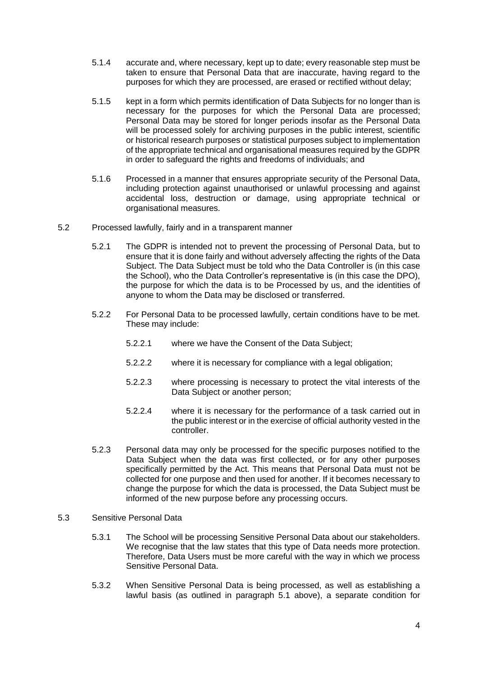- 5.1.4 accurate and, where necessary, kept up to date; every reasonable step must be taken to ensure that Personal Data that are inaccurate, having regard to the purposes for which they are processed, are erased or rectified without delay;
- 5.1.5 kept in a form which permits identification of Data Subjects for no longer than is necessary for the purposes for which the Personal Data are processed; Personal Data may be stored for longer periods insofar as the Personal Data will be processed solely for archiving purposes in the public interest, scientific or historical research purposes or statistical purposes subject to implementation of the appropriate technical and organisational measures required by the GDPR in order to safeguard the rights and freedoms of individuals; and
- 5.1.6 Processed in a manner that ensures appropriate security of the Personal Data, including protection against unauthorised or unlawful processing and against accidental loss, destruction or damage, using appropriate technical or organisational measures.
- 5.2 Processed lawfully, fairly and in a transparent manner
	- 5.2.1 The GDPR is intended not to prevent the processing of Personal Data, but to ensure that it is done fairly and without adversely affecting the rights of the Data Subject. The Data Subject must be told who the Data Controller is (in this case the School), who the Data Controller's representative is (in this case the DPO), the purpose for which the data is to be Processed by us, and the identities of anyone to whom the Data may be disclosed or transferred.
	- 5.2.2 For Personal Data to be processed lawfully, certain conditions have to be met. These may include:
		- 5.2.2.1 where we have the Consent of the Data Subject;
		- 5.2.2.2 where it is necessary for compliance with a legal obligation;
		- 5.2.2.3 where processing is necessary to protect the vital interests of the Data Subject or another person;
		- 5.2.2.4 where it is necessary for the performance of a task carried out in the public interest or in the exercise of official authority vested in the controller.
	- 5.2.3 Personal data may only be processed for the specific purposes notified to the Data Subject when the data was first collected, or for any other purposes specifically permitted by the Act. This means that Personal Data must not be collected for one purpose and then used for another. If it becomes necessary to change the purpose for which the data is processed, the Data Subject must be informed of the new purpose before any processing occurs.
- 5.3 Sensitive Personal Data
	- 5.3.1 The School will be processing Sensitive Personal Data about our stakeholders. We recognise that the law states that this type of Data needs more protection. Therefore, Data Users must be more careful with the way in which we process Sensitive Personal Data.
	- 5.3.2 When Sensitive Personal Data is being processed, as well as establishing a lawful basis (as outlined in paragraph 5.1 above), a separate condition for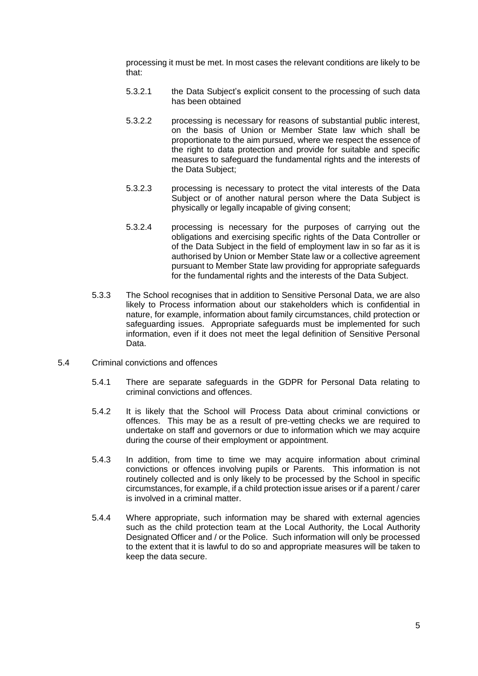processing it must be met. In most cases the relevant conditions are likely to be that:

- 5.3.2.1 the Data Subject's explicit consent to the processing of such data has been obtained
- 5.3.2.2 processing is necessary for reasons of substantial public interest, on the basis of Union or Member State law which shall be proportionate to the aim pursued, where we respect the essence of the right to data protection and provide for suitable and specific measures to safeguard the fundamental rights and the interests of the Data Subject;
- 5.3.2.3 processing is necessary to protect the vital interests of the Data Subject or of another natural person where the Data Subject is physically or legally incapable of giving consent;
- 5.3.2.4 processing is necessary for the purposes of carrying out the obligations and exercising specific rights of the Data Controller or of the Data Subject in the field of employment law in so far as it is authorised by Union or Member State law or a collective agreement pursuant to Member State law providing for appropriate safeguards for the fundamental rights and the interests of the Data Subject.
- 5.3.3 The School recognises that in addition to Sensitive Personal Data, we are also likely to Process information about our stakeholders which is confidential in nature, for example, information about family circumstances, child protection or safeguarding issues. Appropriate safeguards must be implemented for such information, even if it does not meet the legal definition of Sensitive Personal Data.
- 5.4 Criminal convictions and offences
	- 5.4.1 There are separate safeguards in the GDPR for Personal Data relating to criminal convictions and offences.
	- 5.4.2 It is likely that the School will Process Data about criminal convictions or offences. This may be as a result of pre-vetting checks we are required to undertake on staff and governors or due to information which we may acquire during the course of their employment or appointment.
	- 5.4.3 In addition, from time to time we may acquire information about criminal convictions or offences involving pupils or Parents. This information is not routinely collected and is only likely to be processed by the School in specific circumstances, for example, if a child protection issue arises or if a parent / carer is involved in a criminal matter.
	- 5.4.4 Where appropriate, such information may be shared with external agencies such as the child protection team at the Local Authority, the Local Authority Designated Officer and / or the Police. Such information will only be processed to the extent that it is lawful to do so and appropriate measures will be taken to keep the data secure.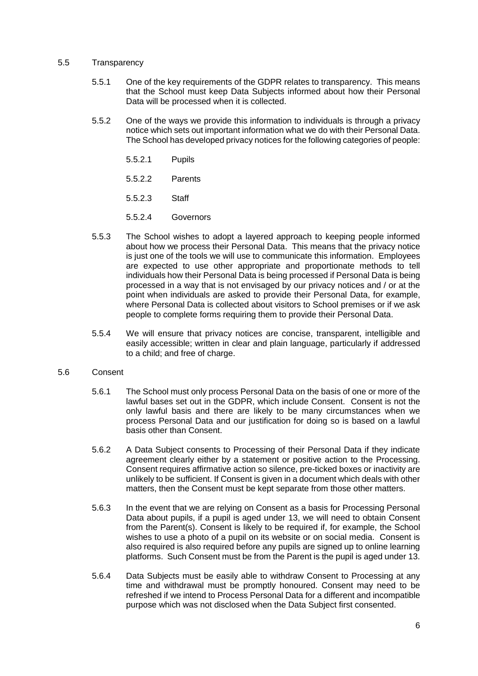#### 5.5 Transparency

- 5.5.1 One of the key requirements of the GDPR relates to transparency. This means that the School must keep Data Subjects informed about how their Personal Data will be processed when it is collected.
- 5.5.2 One of the ways we provide this information to individuals is through a privacy notice which sets out important information what we do with their Personal Data. The School has developed privacy notices for the following categories of people:
	- 5.5.2.1 Pupils
	- 5.5.2.2 Parents
	- 5.5.2.3 Staff
	- 5.5.2.4 Governors
- 5.5.3 The School wishes to adopt a layered approach to keeping people informed about how we process their Personal Data. This means that the privacy notice is just one of the tools we will use to communicate this information. Employees are expected to use other appropriate and proportionate methods to tell individuals how their Personal Data is being processed if Personal Data is being processed in a way that is not envisaged by our privacy notices and / or at the point when individuals are asked to provide their Personal Data, for example, where Personal Data is collected about visitors to School premises or if we ask people to complete forms requiring them to provide their Personal Data.
- 5.5.4 We will ensure that privacy notices are concise, transparent, intelligible and easily accessible; written in clear and plain language, particularly if addressed to a child; and free of charge.

### 5.6 Consent

- 5.6.1 The School must only process Personal Data on the basis of one or more of the lawful bases set out in the GDPR, which include Consent. Consent is not the only lawful basis and there are likely to be many circumstances when we process Personal Data and our justification for doing so is based on a lawful basis other than Consent.
- 5.6.2 A Data Subject consents to Processing of their Personal Data if they indicate agreement clearly either by a statement or positive action to the Processing. Consent requires affirmative action so silence, pre-ticked boxes or inactivity are unlikely to be sufficient. If Consent is given in a document which deals with other matters, then the Consent must be kept separate from those other matters.
- 5.6.3 In the event that we are relying on Consent as a basis for Processing Personal Data about pupils, if a pupil is aged under 13, we will need to obtain Consent from the Parent(s). Consent is likely to be required if, for example, the School wishes to use a photo of a pupil on its website or on social media. Consent is also required is also required before any pupils are signed up to online learning platforms. Such Consent must be from the Parent is the pupil is aged under 13.
- 5.6.4 Data Subjects must be easily able to withdraw Consent to Processing at any time and withdrawal must be promptly honoured. Consent may need to be refreshed if we intend to Process Personal Data for a different and incompatible purpose which was not disclosed when the Data Subject first consented.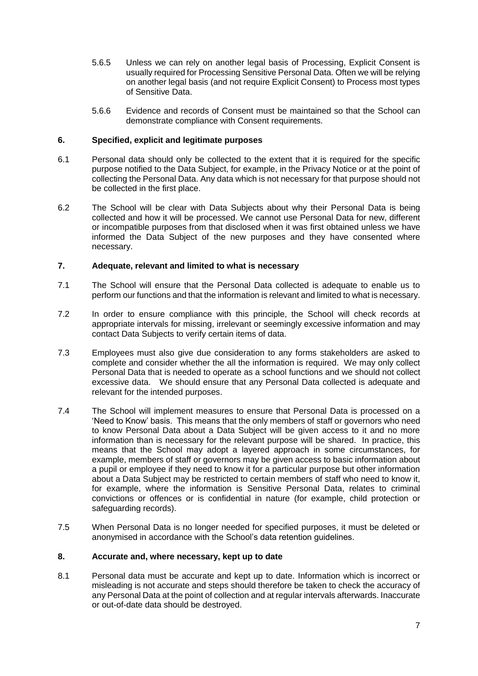- 5.6.5 Unless we can rely on another legal basis of Processing, Explicit Consent is usually required for Processing Sensitive Personal Data. Often we will be relying on another legal basis (and not require Explicit Consent) to Process most types of Sensitive Data.
- 5.6.6 Evidence and records of Consent must be maintained so that the School can demonstrate compliance with Consent requirements.

## **6. Specified, explicit and legitimate purposes**

- 6.1 Personal data should only be collected to the extent that it is required for the specific purpose notified to the Data Subject, for example, in the Privacy Notice or at the point of collecting the Personal Data. Any data which is not necessary for that purpose should not be collected in the first place.
- 6.2 The School will be clear with Data Subjects about why their Personal Data is being collected and how it will be processed. We cannot use Personal Data for new, different or incompatible purposes from that disclosed when it was first obtained unless we have informed the Data Subject of the new purposes and they have consented where necessary.

## **7. Adequate, relevant and limited to what is necessary**

- 7.1 The School will ensure that the Personal Data collected is adequate to enable us to perform our functions and that the information is relevant and limited to what is necessary.
- 7.2 In order to ensure compliance with this principle, the School will check records at appropriate intervals for missing, irrelevant or seemingly excessive information and may contact Data Subjects to verify certain items of data.
- 7.3 Employees must also give due consideration to any forms stakeholders are asked to complete and consider whether the all the information is required. We may only collect Personal Data that is needed to operate as a school functions and we should not collect excessive data. We should ensure that any Personal Data collected is adequate and relevant for the intended purposes.
- 7.4 The School will implement measures to ensure that Personal Data is processed on a 'Need to Know' basis. This means that the only members of staff or governors who need to know Personal Data about a Data Subject will be given access to it and no more information than is necessary for the relevant purpose will be shared. In practice, this means that the School may adopt a layered approach in some circumstances, for example, members of staff or governors may be given access to basic information about a pupil or employee if they need to know it for a particular purpose but other information about a Data Subject may be restricted to certain members of staff who need to know it, for example, where the information is Sensitive Personal Data, relates to criminal convictions or offences or is confidential in nature (for example, child protection or safeguarding records).
- 7.5 When Personal Data is no longer needed for specified purposes, it must be deleted or anonymised in accordance with the School's data retention guidelines.

### **8. Accurate and, where necessary, kept up to date**

8.1 Personal data must be accurate and kept up to date. Information which is incorrect or misleading is not accurate and steps should therefore be taken to check the accuracy of any Personal Data at the point of collection and at regular intervals afterwards. Inaccurate or out-of-date data should be destroyed.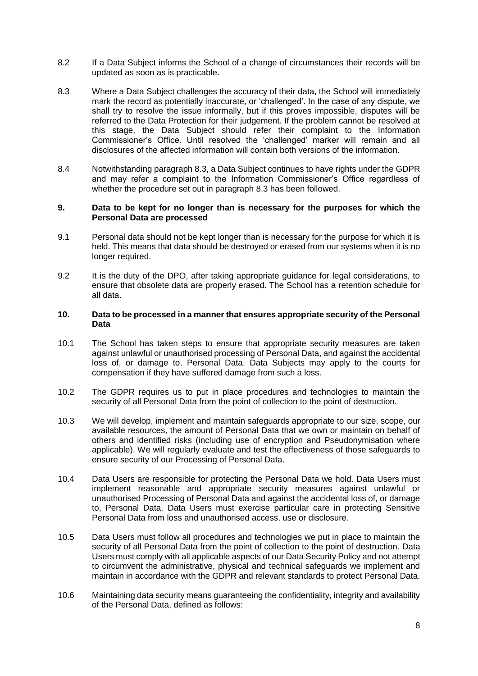- 8.2 If a Data Subject informs the School of a change of circumstances their records will be updated as soon as is practicable.
- 8.3 Where a Data Subject challenges the accuracy of their data, the School will immediately mark the record as potentially inaccurate, or 'challenged'. In the case of any dispute, we shall try to resolve the issue informally, but if this proves impossible, disputes will be referred to the Data Protection for their judgement. If the problem cannot be resolved at this stage, the Data Subject should refer their complaint to the Information Commissioner's Office. Until resolved the 'challenged' marker will remain and all disclosures of the affected information will contain both versions of the information.
- 8.4 Notwithstanding paragraph 8.3, a Data Subject continues to have rights under the GDPR and may refer a complaint to the Information Commissioner's Office regardless of whether the procedure set out in paragraph 8.3 has been followed.

#### **9. Data to be kept for no longer than is necessary for the purposes for which the Personal Data are processed**

- 9.1 Personal data should not be kept longer than is necessary for the purpose for which it is held. This means that data should be destroyed or erased from our systems when it is no longer required.
- 9.2 It is the duty of the DPO, after taking appropriate guidance for legal considerations, to ensure that obsolete data are properly erased. The School has a retention schedule for all data.

#### **10. Data to be processed in a manner that ensures appropriate security of the Personal Data**

- 10.1 The School has taken steps to ensure that appropriate security measures are taken against unlawful or unauthorised processing of Personal Data, and against the accidental loss of, or damage to, Personal Data. Data Subjects may apply to the courts for compensation if they have suffered damage from such a loss.
- 10.2 The GDPR requires us to put in place procedures and technologies to maintain the security of all Personal Data from the point of collection to the point of destruction.
- 10.3 We will develop, implement and maintain safeguards appropriate to our size, scope, our available resources, the amount of Personal Data that we own or maintain on behalf of others and identified risks (including use of encryption and Pseudonymisation where applicable). We will regularly evaluate and test the effectiveness of those safeguards to ensure security of our Processing of Personal Data.
- 10.4 Data Users are responsible for protecting the Personal Data we hold. Data Users must implement reasonable and appropriate security measures against unlawful or unauthorised Processing of Personal Data and against the accidental loss of, or damage to, Personal Data. Data Users must exercise particular care in protecting Sensitive Personal Data from loss and unauthorised access, use or disclosure.
- 10.5 Data Users must follow all procedures and technologies we put in place to maintain the security of all Personal Data from the point of collection to the point of destruction. Data Users must comply with all applicable aspects of our Data Security Policy and not attempt to circumvent the administrative, physical and technical safeguards we implement and maintain in accordance with the GDPR and relevant standards to protect Personal Data.
- 10.6 Maintaining data security means guaranteeing the confidentiality, integrity and availability of the Personal Data, defined as follows: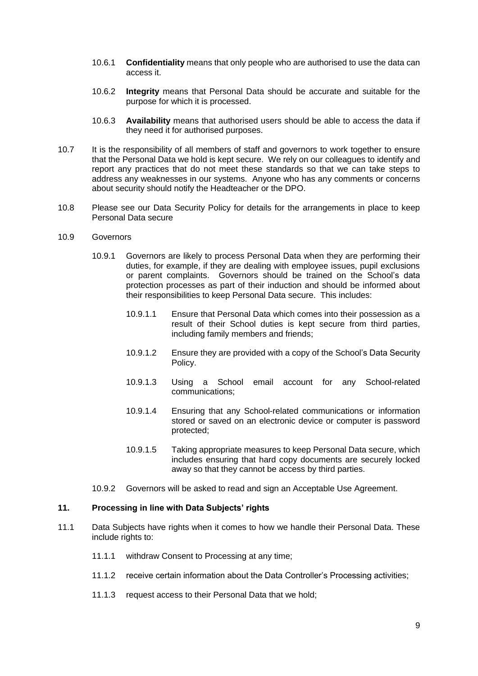- 10.6.1 **Confidentiality** means that only people who are authorised to use the data can access it.
- 10.6.2 **Integrity** means that Personal Data should be accurate and suitable for the purpose for which it is processed.
- 10.6.3 **Availability** means that authorised users should be able to access the data if they need it for authorised purposes.
- 10.7 It is the responsibility of all members of staff and governors to work together to ensure that the Personal Data we hold is kept secure. We rely on our colleagues to identify and report any practices that do not meet these standards so that we can take steps to address any weaknesses in our systems. Anyone who has any comments or concerns about security should notify the Headteacher or the DPO.
- 10.8 Please see our Data Security Policy for details for the arrangements in place to keep Personal Data secure
- 10.9 Governors
	- 10.9.1 Governors are likely to process Personal Data when they are performing their duties, for example, if they are dealing with employee issues, pupil exclusions or parent complaints. Governors should be trained on the School's data protection processes as part of their induction and should be informed about their responsibilities to keep Personal Data secure. This includes:
		- 10.9.1.1 Ensure that Personal Data which comes into their possession as a result of their School duties is kept secure from third parties, including family members and friends;
		- 10.9.1.2 Ensure they are provided with a copy of the School's Data Security Policy.
		- 10.9.1.3 Using a School email account for any School-related communications;
		- 10.9.1.4 Ensuring that any School-related communications or information stored or saved on an electronic device or computer is password protected;
		- 10.9.1.5 Taking appropriate measures to keep Personal Data secure, which includes ensuring that hard copy documents are securely locked away so that they cannot be access by third parties.
	- 10.9.2 Governors will be asked to read and sign an Acceptable Use Agreement.

#### **11. Processing in line with Data Subjects' rights**

- 11.1 Data Subjects have rights when it comes to how we handle their Personal Data. These include rights to:
	- 11.1.1 withdraw Consent to Processing at any time;
	- 11.1.2 receive certain information about the Data Controller's Processing activities;
	- 11.1.3 request access to their Personal Data that we hold;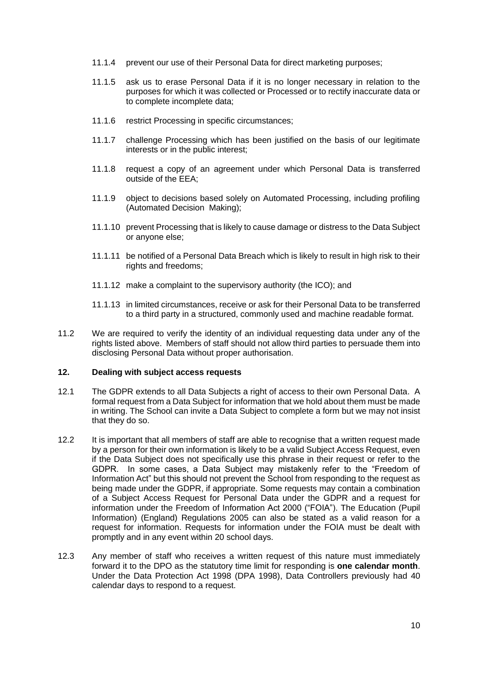- 11.1.4 prevent our use of their Personal Data for direct marketing purposes;
- 11.1.5 ask us to erase Personal Data if it is no longer necessary in relation to the purposes for which it was collected or Processed or to rectify inaccurate data or to complete incomplete data;
- 11.1.6 restrict Processing in specific circumstances;
- 11.1.7 challenge Processing which has been justified on the basis of our legitimate interests or in the public interest;
- 11.1.8 request a copy of an agreement under which Personal Data is transferred outside of the EEA;
- 11.1.9 object to decisions based solely on Automated Processing, including profiling (Automated Decision Making);
- 11.1.10 prevent Processing that is likely to cause damage or distress to the Data Subject or anyone else;
- 11.1.11 be notified of a Personal Data Breach which is likely to result in high risk to their rights and freedoms;
- 11.1.12 make a complaint to the supervisory authority (the ICO); and
- 11.1.13 in limited circumstances, receive or ask for their Personal Data to be transferred to a third party in a structured, commonly used and machine readable format.
- 11.2 We are required to verify the identity of an individual requesting data under any of the rights listed above. Members of staff should not allow third parties to persuade them into disclosing Personal Data without proper authorisation.

#### **12. Dealing with subject access requests**

- 12.1 The GDPR extends to all Data Subjects a right of access to their own Personal Data. A formal request from a Data Subject for information that we hold about them must be made in writing. The School can invite a Data Subject to complete a form but we may not insist that they do so.
- 12.2 It is important that all members of staff are able to recognise that a written request made by a person for their own information is likely to be a valid Subject Access Request, even if the Data Subject does not specifically use this phrase in their request or refer to the GDPR. In some cases, a Data Subject may mistakenly refer to the "Freedom of Information Act" but this should not prevent the School from responding to the request as being made under the GDPR, if appropriate. Some requests may contain a combination of a Subject Access Request for Personal Data under the GDPR and a request for information under the Freedom of Information Act 2000 ("FOIA"). The Education (Pupil Information) (England) Regulations 2005 can also be stated as a valid reason for a request for information. Requests for information under the FOIA must be dealt with promptly and in any event within 20 school days.
- 12.3 Any member of staff who receives a written request of this nature must immediately forward it to the DPO as the statutory time limit for responding is **one calendar month**. Under the Data Protection Act 1998 (DPA 1998), Data Controllers previously had 40 calendar days to respond to a request.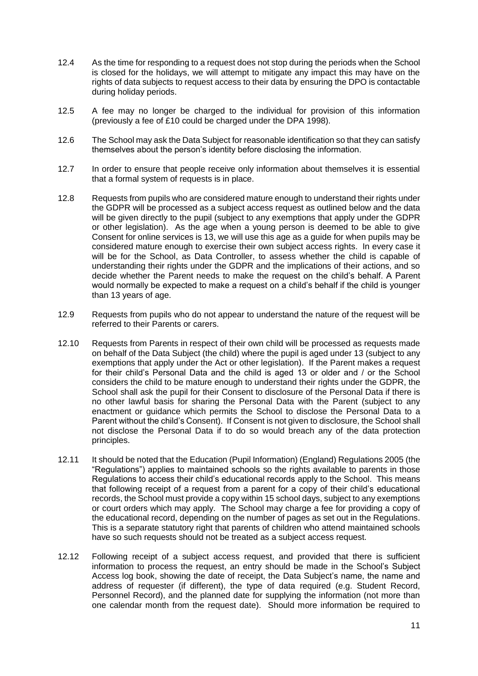- 12.4 As the time for responding to a request does not stop during the periods when the School is closed for the holidays, we will attempt to mitigate any impact this may have on the rights of data subjects to request access to their data by ensuring the DPO is contactable during holiday periods.
- 12.5 A fee may no longer be charged to the individual for provision of this information (previously a fee of £10 could be charged under the DPA 1998).
- 12.6 The School may ask the Data Subject for reasonable identification so that they can satisfy themselves about the person's identity before disclosing the information.
- 12.7 In order to ensure that people receive only information about themselves it is essential that a formal system of requests is in place.
- 12.8 Requests from pupils who are considered mature enough to understand their rights under the GDPR will be processed as a subject access request as outlined below and the data will be given directly to the pupil (subject to any exemptions that apply under the GDPR or other legislation). As the age when a young person is deemed to be able to give Consent for online services is 13, we will use this age as a guide for when pupils may be considered mature enough to exercise their own subject access rights. In every case it will be for the School, as Data Controller, to assess whether the child is capable of understanding their rights under the GDPR and the implications of their actions, and so decide whether the Parent needs to make the request on the child's behalf. A Parent would normally be expected to make a request on a child's behalf if the child is younger than 13 years of age.
- 12.9 Requests from pupils who do not appear to understand the nature of the request will be referred to their Parents or carers.
- 12.10 Requests from Parents in respect of their own child will be processed as requests made on behalf of the Data Subject (the child) where the pupil is aged under 13 (subject to any exemptions that apply under the Act or other legislation). If the Parent makes a request for their child's Personal Data and the child is aged 13 or older and / or the School considers the child to be mature enough to understand their rights under the GDPR, the School shall ask the pupil for their Consent to disclosure of the Personal Data if there is no other lawful basis for sharing the Personal Data with the Parent (subject to any enactment or guidance which permits the School to disclose the Personal Data to a Parent without the child's Consent). If Consent is not given to disclosure, the School shall not disclose the Personal Data if to do so would breach any of the data protection principles.
- 12.11 It should be noted that the Education (Pupil Information) (England) Regulations 2005 (the "Regulations") applies to maintained schools so the rights available to parents in those Regulations to access their child's educational records apply to the School. This means that following receipt of a request from a parent for a copy of their child's educational records, the School must provide a copy within 15 school days, subject to any exemptions or court orders which may apply. The School may charge a fee for providing a copy of the educational record, depending on the number of pages as set out in the Regulations. This is a separate statutory right that parents of children who attend maintained schools have so such requests should not be treated as a subject access request.
- 12.12 Following receipt of a subject access request, and provided that there is sufficient information to process the request, an entry should be made in the School's Subject Access log book, showing the date of receipt, the Data Subject's name, the name and address of requester (if different), the type of data required (e.g. Student Record, Personnel Record), and the planned date for supplying the information (not more than one calendar month from the request date). Should more information be required to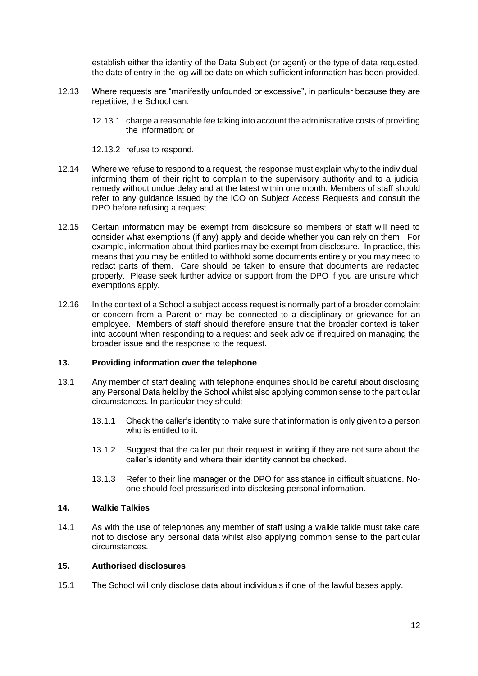establish either the identity of the Data Subject (or agent) or the type of data requested, the date of entry in the log will be date on which sufficient information has been provided.

- 12.13 Where requests are "manifestly unfounded or excessive", in particular because they are repetitive, the School can:
	- 12.13.1 charge a reasonable fee taking into account the administrative costs of providing the information; or
	- 12.13.2 refuse to respond.
- 12.14 Where we refuse to respond to a request, the response must explain why to the individual, informing them of their right to complain to the supervisory authority and to a judicial remedy without undue delay and at the latest within one month. Members of staff should refer to any guidance issued by the ICO on Subject Access Requests and consult the DPO before refusing a request.
- 12.15 Certain information may be exempt from disclosure so members of staff will need to consider what exemptions (if any) apply and decide whether you can rely on them. For example, information about third parties may be exempt from disclosure. In practice, this means that you may be entitled to withhold some documents entirely or you may need to redact parts of them. Care should be taken to ensure that documents are redacted properly. Please seek further advice or support from the DPO if you are unsure which exemptions apply.
- 12.16 In the context of a School a subject access request is normally part of a broader complaint or concern from a Parent or may be connected to a disciplinary or grievance for an employee. Members of staff should therefore ensure that the broader context is taken into account when responding to a request and seek advice if required on managing the broader issue and the response to the request.

#### **13. Providing information over the telephone**

- 13.1 Any member of staff dealing with telephone enquiries should be careful about disclosing any Personal Data held by the School whilst also applying common sense to the particular circumstances. In particular they should:
	- 13.1.1 Check the caller's identity to make sure that information is only given to a person who is entitled to it.
	- 13.1.2 Suggest that the caller put their request in writing if they are not sure about the caller's identity and where their identity cannot be checked.
	- 13.1.3 Refer to their line manager or the DPO for assistance in difficult situations. Noone should feel pressurised into disclosing personal information.

#### **14. Walkie Talkies**

14.1 As with the use of telephones any member of staff using a walkie talkie must take care not to disclose any personal data whilst also applying common sense to the particular circumstances.

#### **15. Authorised disclosures**

15.1 The School will only disclose data about individuals if one of the lawful bases apply.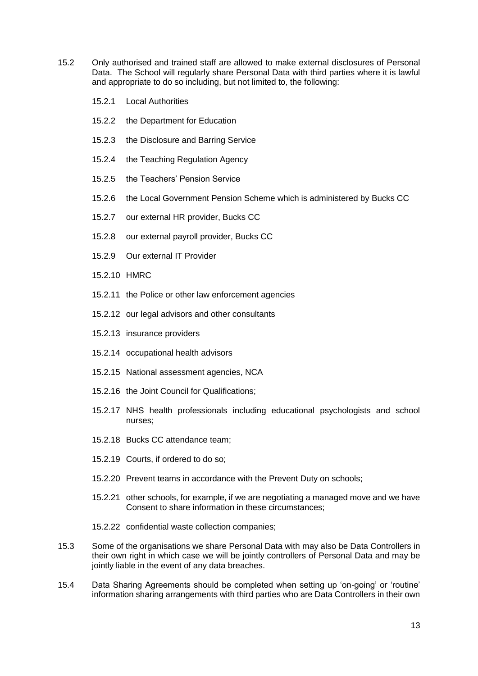- 15.2 Only authorised and trained staff are allowed to make external disclosures of Personal Data. The School will regularly share Personal Data with third parties where it is lawful and appropriate to do so including, but not limited to, the following:
	- 15.2.1 Local Authorities
	- 15.2.2 the Department for Education
	- 15.2.3 the Disclosure and Barring Service
	- 15.2.4 the Teaching Regulation Agency
	- 15.2.5 the Teachers' Pension Service
	- 15.2.6 the Local Government Pension Scheme which is administered by Bucks CC
	- 15.2.7 our external HR provider, Bucks CC
	- 15.2.8 our external payroll provider, Bucks CC
	- 15.2.9 Our external IT Provider
	- 15.2.10 HMRC
	- 15.2.11 the Police or other law enforcement agencies
	- 15.2.12 our legal advisors and other consultants
	- 15.2.13 insurance providers
	- 15.2.14 occupational health advisors
	- 15.2.15 National assessment agencies, NCA
	- 15.2.16 the Joint Council for Qualifications;
	- 15.2.17 NHS health professionals including educational psychologists and school nurses;
	- 15.2.18 Bucks CC attendance team;
	- 15.2.19 Courts, if ordered to do so;
	- 15.2.20 Prevent teams in accordance with the Prevent Duty on schools;
	- 15.2.21 other schools, for example, if we are negotiating a managed move and we have Consent to share information in these circumstances;
	- 15.2.22 confidential waste collection companies;
- 15.3 Some of the organisations we share Personal Data with may also be Data Controllers in their own right in which case we will be jointly controllers of Personal Data and may be jointly liable in the event of any data breaches.
- 15.4 Data Sharing Agreements should be completed when setting up 'on-going' or 'routine' information sharing arrangements with third parties who are Data Controllers in their own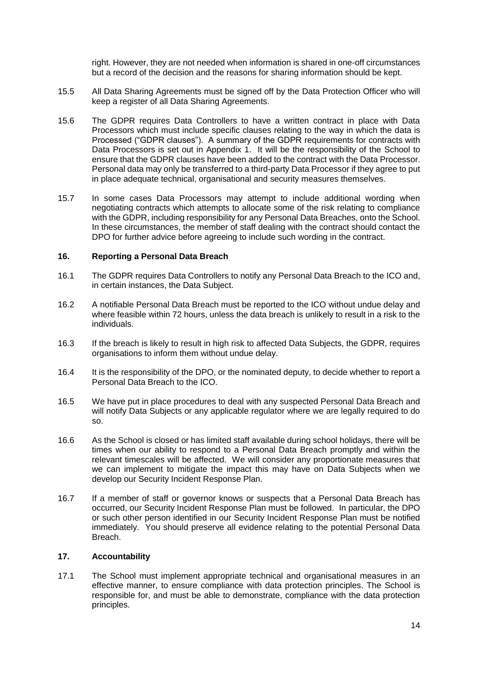right. However, they are not needed when information is shared in one-off circumstances but a record of the decision and the reasons for sharing information should be kept.

- 15.5 All Data Sharing Agreements must be signed off by the Data Protection Officer who will keep a register of all Data Sharing Agreements.
- 15.6 The GDPR requires Data Controllers to have a written contract in place with Data Processors which must include specific clauses relating to the way in which the data is Processed ("GDPR clauses"). A summary of the GDPR requirements for contracts with Data Processors is set out in Appendix 1. It will be the responsibility of the School to ensure that the GDPR clauses have been added to the contract with the Data Processor. Personal data may only be transferred to a third-party Data Processor if they agree to put in place adequate technical, organisational and security measures themselves.
- 15.7 In some cases Data Processors may attempt to include additional wording when negotiating contracts which attempts to allocate some of the risk relating to compliance with the GDPR, including responsibility for any Personal Data Breaches, onto the School. In these circumstances, the member of staff dealing with the contract should contact the DPO for further advice before agreeing to include such wording in the contract.

#### **16. Reporting a Personal Data Breach**

- 16.1 The GDPR requires Data Controllers to notify any Personal Data Breach to the ICO and, in certain instances, the Data Subject.
- 16.2 A notifiable Personal Data Breach must be reported to the ICO without undue delay and where feasible within 72 hours, unless the data breach is unlikely to result in a risk to the individuals.
- 16.3 If the breach is likely to result in high risk to affected Data Subjects, the GDPR, requires organisations to inform them without undue delay.
- 16.4 It is the responsibility of the DPO, or the nominated deputy, to decide whether to report a Personal Data Breach to the ICO.
- 16.5 We have put in place procedures to deal with any suspected Personal Data Breach and will notify Data Subjects or any applicable regulator where we are legally required to do so.
- 16.6 As the School is closed or has limited staff available during school holidays, there will be times when our ability to respond to a Personal Data Breach promptly and within the relevant timescales will be affected. We will consider any proportionate measures that we can implement to mitigate the impact this may have on Data Subjects when we develop our Security Incident Response Plan.
- 16.7 If a member of staff or governor knows or suspects that a Personal Data Breach has occurred, our Security Incident Response Plan must be followed. In particular, the DPO or such other person identified in our Security Incident Response Plan must be notified immediately. You should preserve all evidence relating to the potential Personal Data Breach.

#### **17. Accountability**

17.1 The School must implement appropriate technical and organisational measures in an effective manner, to ensure compliance with data protection principles. The School is responsible for, and must be able to demonstrate, compliance with the data protection principles.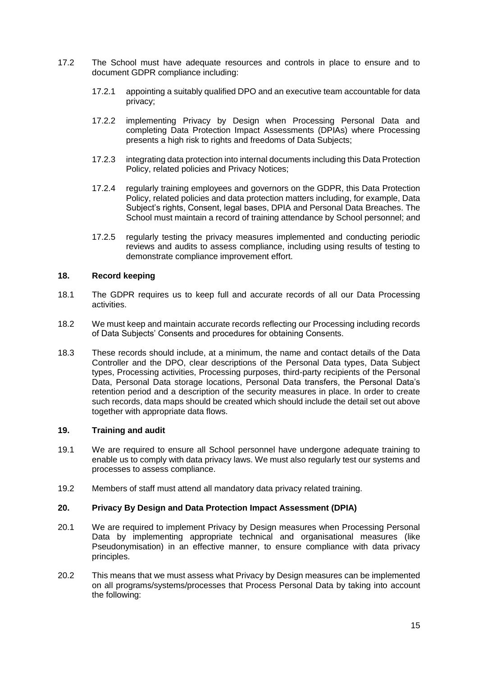- 17.2 The School must have adequate resources and controls in place to ensure and to document GDPR compliance including:
	- 17.2.1 appointing a suitably qualified DPO and an executive team accountable for data privacy;
	- 17.2.2 implementing Privacy by Design when Processing Personal Data and completing Data Protection Impact Assessments (DPIAs) where Processing presents a high risk to rights and freedoms of Data Subjects;
	- 17.2.3 integrating data protection into internal documents including this Data Protection Policy, related policies and Privacy Notices;
	- 17.2.4 regularly training employees and governors on the GDPR, this Data Protection Policy, related policies and data protection matters including, for example, Data Subject's rights, Consent, legal bases, DPIA and Personal Data Breaches. The School must maintain a record of training attendance by School personnel; and
	- 17.2.5 regularly testing the privacy measures implemented and conducting periodic reviews and audits to assess compliance, including using results of testing to demonstrate compliance improvement effort.

## **18. Record keeping**

- 18.1 The GDPR requires us to keep full and accurate records of all our Data Processing activities.
- 18.2 We must keep and maintain accurate records reflecting our Processing including records of Data Subjects' Consents and procedures for obtaining Consents.
- 18.3 These records should include, at a minimum, the name and contact details of the Data Controller and the DPO, clear descriptions of the Personal Data types, Data Subject types, Processing activities, Processing purposes, third-party recipients of the Personal Data, Personal Data storage locations, Personal Data transfers, the Personal Data's retention period and a description of the security measures in place. In order to create such records, data maps should be created which should include the detail set out above together with appropriate data flows.

### **19. Training and audit**

- 19.1 We are required to ensure all School personnel have undergone adequate training to enable us to comply with data privacy laws. We must also regularly test our systems and processes to assess compliance.
- 19.2 Members of staff must attend all mandatory data privacy related training.

### **20. Privacy By Design and Data Protection Impact Assessment (DPIA)**

- 20.1 We are required to implement Privacy by Design measures when Processing Personal Data by implementing appropriate technical and organisational measures (like Pseudonymisation) in an effective manner, to ensure compliance with data privacy principles.
- 20.2 This means that we must assess what Privacy by Design measures can be implemented on all programs/systems/processes that Process Personal Data by taking into account the following: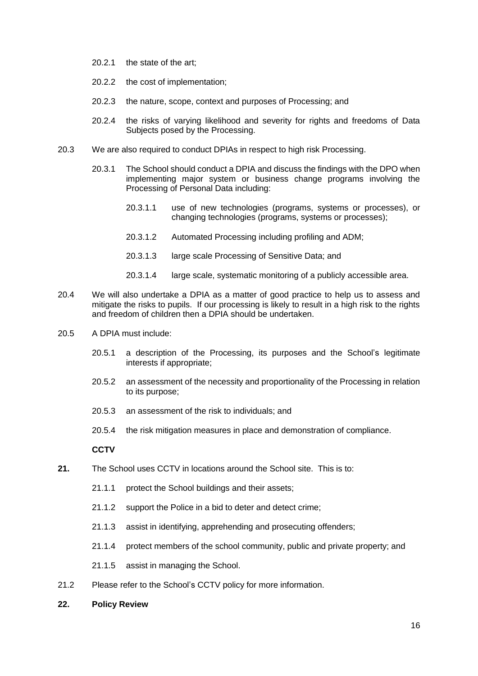- 20.2.1 the state of the art;
- 20.2.2 the cost of implementation;
- 20.2.3 the nature, scope, context and purposes of Processing; and
- 20.2.4 the risks of varying likelihood and severity for rights and freedoms of Data Subjects posed by the Processing.
- 20.3 We are also required to conduct DPIAs in respect to high risk Processing.
	- 20.3.1 The School should conduct a DPIA and discuss the findings with the DPO when implementing major system or business change programs involving the Processing of Personal Data including:
		- 20.3.1.1 use of new technologies (programs, systems or processes), or changing technologies (programs, systems or processes);
		- 20.3.1.2 Automated Processing including profiling and ADM;
		- 20.3.1.3 large scale Processing of Sensitive Data; and
		- 20.3.1.4 large scale, systematic monitoring of a publicly accessible area.
- 20.4 We will also undertake a DPIA as a matter of good practice to help us to assess and mitigate the risks to pupils. If our processing is likely to result in a high risk to the rights and freedom of children then a DPIA should be undertaken.
- 20.5 A DPIA must include:
	- 20.5.1 a description of the Processing, its purposes and the School's legitimate interests if appropriate;
	- 20.5.2 an assessment of the necessity and proportionality of the Processing in relation to its purpose;
	- 20.5.3 an assessment of the risk to individuals; and
	- 20.5.4 the risk mitigation measures in place and demonstration of compliance.

### **CCTV**

- **21.** The School uses CCTV in locations around the School site. This is to:
	- 21.1.1 protect the School buildings and their assets;
	- 21.1.2 support the Police in a bid to deter and detect crime;
	- 21.1.3 assist in identifying, apprehending and prosecuting offenders;
	- 21.1.4 protect members of the school community, public and private property; and
	- 21.1.5 assist in managing the School.
- 21.2 Please refer to the School's CCTV policy for more information.
- **22. Policy Review**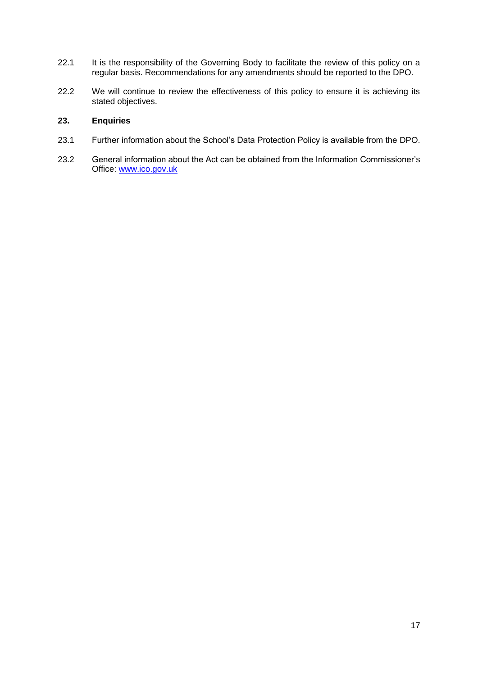- 22.1 It is the responsibility of the Governing Body to facilitate the review of this policy on a regular basis. Recommendations for any amendments should be reported to the DPO.
- 22.2 We will continue to review the effectiveness of this policy to ensure it is achieving its stated objectives.

## **23. Enquiries**

- 23.1 Further information about the School's Data Protection Policy is available from the DPO.
- 23.2 General information about the Act can be obtained from the Information Commissioner's Office: [www.ico.gov.uk](http://www.ico.gov.uk/)